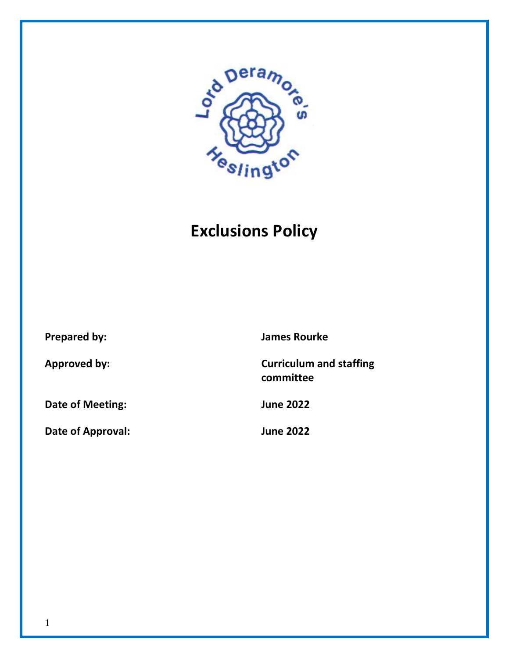

# **Exclusions Policy**

**Date of Meeting: June 2022**

**Date of Approval: June 2022**

**Prepared by: James Rourke**

**Approved by: Curriculum and staffing committee**